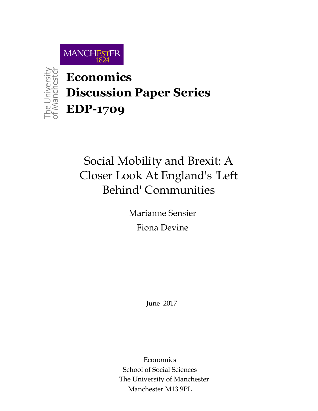

The University<br>of Manchester

**Economics Discussion Paper Series EDP-1709**

# Social Mobility and Brexit: A Closer Look At England's 'Left Behind' Communities

Marianne Sensier Fiona Devine

June 2017

Economics School of Social Sciences The University of Manchester Manchester M13 9PL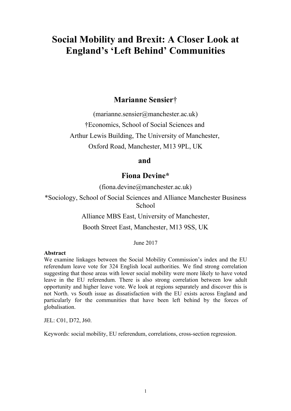## **Social Mobility and Brexit: A Closer Look at England's 'Left Behind' Communities**

## **Marianne Sensier**†

(marianne.sensier@manchester.ac.uk)

†Economics, School of Social Sciences and

Arthur Lewis Building, The University of Manchester,

Oxford Road, Manchester, M13 9PL, UK

#### **and**

### **Fiona Devine\***

(fiona.devine@manchester.ac.uk)

\*Sociology, School of Social Sciences and Alliance Manchester Business **School** 

Alliance MBS East, University of Manchester,

Booth Street East, Manchester, M13 9SS, UK

June 2017

#### **Abstract**

We examine linkages between the Social Mobility Commission's index and the EU referendum leave vote for 324 English local authorities. We find strong correlation suggesting that those areas with lower social mobility were more likely to have voted leave in the EU referendum. There is also strong correlation between low adult opportunity and higher leave vote. We look at regions separately and discover this is not North. vs South issue as dissatisfaction with the EU exists across England and particularly for the communities that have been left behind by the forces of globalisation.

JEL: C01, D72, J60.

Keywords: social mobility, EU referendum, correlations, cross-section regression.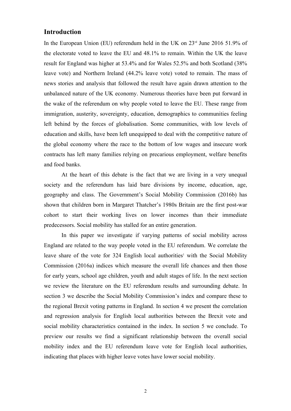#### **Introduction**

In the European Union (EU) referendum held in the UK on  $23<sup>rd</sup>$  June 2016 51.9% of the electorate voted to leave the EU and 48.1% to remain. Within the UK the leave result for England was higher at 53.4% and for Wales 52.5% and both Scotland (38% leave vote) and Northern Ireland (44.2% leave vote) voted to remain. The mass of news stories and analysis that followed the result have again drawn attention to the unbalanced nature of the UK economy. Numerous theories have been put forward in the wake of the referendum on why people voted to leave the EU. These range from immigration, austerity, sovereignty, education, demographics to communities feeling left behind by the forces of globalisation. Some communities, with low levels of education and skills, have been left unequipped to deal with the competitive nature of the global economy where the race to the bottom of low wages and insecure work contracts has left many families relying on precarious employment, welfare benefits and food banks.

At the heart of this debate is the fact that we are living in a very unequal society and the referendum has laid bare divisions by income, education, age, geography and class. The Government's Social Mobility Commission (2016b) has shown that children born in Margaret Thatcher's 1980s Britain are the first post-war cohort to start their working lives on lower incomes than their immediate predecessors. Social mobility has stalled for an entire generation.

In this paper we investigate if varying patterns of social mobility across England are related to the way people voted in the EU referendum. We correlate the leave share of the vote for  $324$  English local authorities<sup>1</sup> with the Social Mobility Commission (2016a) indices which measure the overall life chances and then those for early years, school age children, youth and adult stages of life. In the next section we review the literature on the EU referendum results and surrounding debate. In section 3 we describe the Social Mobility Commission's index and compare these to the regional Brexit voting patterns in England. In section 4 we present the correlation and regression analysis for English local authorities between the Brexit vote and social mobility characteristics contained in the index. In section 5 we conclude. To preview our results we find a significant relationship between the overall social mobility index and the EU referendum leave vote for English local authorities, indicating that places with higher leave votes have lower social mobility.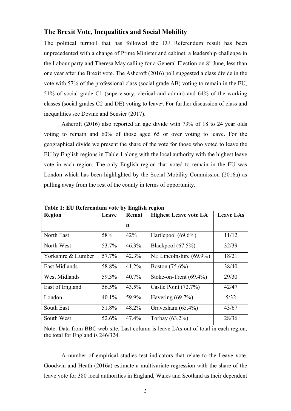#### **The Brexit Vote, Inequalities and Social Mobility**

The political turmoil that has followed the EU Referendum result has been unprecedented with a change of Prime Minister and cabinet, a leadership challenge in the Labour party and Theresa May calling for a General Election on 8<sup>th</sup> June, less than one year after the Brexit vote. The Ashcroft (2016) poll suggested a class divide in the vote with 57% of the professional class (social grade AB) voting to remain in the EU, 51% of social grade C1 (supervisory, clerical and admin) and 64% of the working classes (social grades C2 and DE) voting to leave<sup>2</sup>. For further discussion of class and inequalities see Devine and Sensier (2017).

Ashcroft (2016) also reported an age divide with 73% of 18 to 24 year olds voting to remain and 60% of those aged 65 or over voting to leave. For the geographical divide we present the share of the vote for those who voted to leave the EU by English regions in Table 1 along with the local authority with the highest leave vote in each region. The only English region that voted to remain in the EU was London which has been highlighted by the Social Mobility Commission (2016a) as pulling away from the rest of the county in terms of opportunity.

| Table 1: EU Referendum vote by English region |       |       |                              |                  |
|-----------------------------------------------|-------|-------|------------------------------|------------------|
| <b>Region</b>                                 | Leave | Remai | <b>Highest Leave vote LA</b> | <b>Leave LAs</b> |
|                                               |       | n     |                              |                  |
| North East                                    | 58%   | 42%   | Hartlepool $(69.6\%)$        | 11/12            |
| North West                                    | 53.7% | 46.3% | Blackpool $(67.5\%)$         | 32/39            |
| Yorkshire & Humber                            | 57.7% | 42.3% | NE Lincolnshire $(69.9\%)$   | 18/21            |
| East Midlands                                 | 58.8% | 41.2% | Boston $(75.6\%)$            | 38/40            |
| <b>West Midlands</b>                          | 59.3% | 40.7% | Stoke-on-Trent $(69.4\%)$    | 29/30            |
| East of England                               | 56.5% | 43.5% | Castle Point $(72.7%)$       | 42/47            |
| London                                        | 40.1% | 59.9% | Havering $(69.7\%)$          | 5/32             |
| South East                                    | 51.8% | 48.2% | Gravesham $(65.4\%)$         | 43/67            |
| South West                                    | 52.6% | 47.4% | Torbay $(63.2\%)$            | 28/36            |

**Table 1: EU Referendum vote by English region**

Note: Data from BBC web-site. Last column is leave LAs out of total in each region, the total for England is 246/324.

A number of empirical studies test indicators that relate to the Leave vote. Goodwin and Heath (2016a) estimate a multivariate regression with the share of the leave vote for 380 local authorities in England, Wales and Scotland as their dependent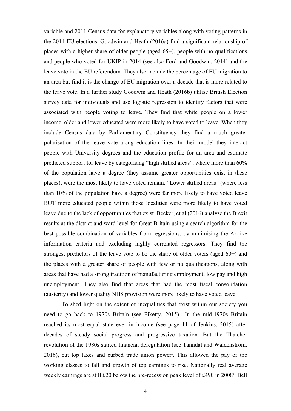variable and 2011 Census data for explanatory variables along with voting patterns in the 2014 EU elections. Goodwin and Heath (2016a) find a significant relationship of places with a higher share of older people (aged 65+), people with no qualifications and people who voted for UKIP in 2014 (see also Ford and Goodwin, 2014) and the leave vote in the EU referendum. They also include the percentage of EU migration to an area but find it is the change of EU migration over a decade that is more related to the leave vote. In a further study Goodwin and Heath (2016b) utilise British Election survey data for individuals and use logistic regression to identify factors that were associated with people voting to leave. They find that white people on a lower income, older and lower educated were more likely to have voted to leave. When they include Census data by Parliamentary Constituency they find a much greater polarisation of the leave vote along education lines. In their model they interact people with University degrees and the education profile for an area and estimate predicted support for leave by categorising "high skilled areas", where more than 60% of the population have a degree (they assume greater opportunities exist in these places), were the most likely to have voted remain. "Lower skilled areas" (where less than 10% of the population have a degree) were far more likely to have voted leave BUT more educated people within those localities were more likely to have voted leave due to the lack of opportunities that exist. Becker, et al (2016) analyse the Brexit results at the district and ward level for Great Britain using a search algorithm for the best possible combination of variables from regressions, by minimising the Akaike information criteria and excluding highly correlated regressors. They find the strongest predictors of the leave vote to be the share of older voters (aged 60+) and the places with a greater share of people with few or no qualifications, along with areas that have had a strong tradition of manufacturing employment, low pay and high unemployment. They also find that areas that had the most fiscal consolidation (austerity) and lower quality NHS provision were more likely to have voted leave.

To shed light on the extent of inequalities that exist within our society you need to go back to 1970s Britain (see Piketty, 2015).. In the mid-1970s Britain reached its most equal state ever in income (see page 11 of Jenkins, 2015) after decades of steady social progress and progressive taxation. But the Thatcher revolution of the 1980s started financial deregulation (see Tanndal and Waldenström, 2016), cut top taxes and curbed trade union power<sup>3</sup>. This allowed the pay of the working classes to fall and growth of top earnings to rise. Nationally real average weekly earnings are still £20 below the pre-recession peak level of £490 in 2008<sup>4</sup>. Bell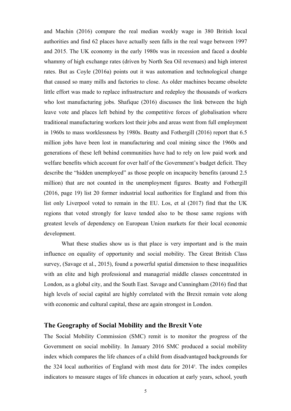and Machin (2016) compare the real median weekly wage in 380 British local authorities and find 62 places have actually seen falls in the real wage between 1997 and 2015. The UK economy in the early 1980s was in recession and faced a double whammy of high exchange rates (driven by North Sea Oil revenues) and high interest rates. But as Coyle (2016a) points out it was automation and technological change that caused so many mills and factories to close. As older machines became obsolete little effort was made to replace infrastructure and redeploy the thousands of workers who lost manufacturing jobs. Shafique (2016) discusses the link between the high leave vote and places left behind by the competitive forces of globalisation where traditional manufacturing workers lost their jobs and areas went from full employment in 1960s to mass worklessness by 1980s. Beatty and Fothergill (2016) report that 6.5 million jobs have been lost in manufacturing and coal mining since the 1960s and generations of these left behind communities have had to rely on low paid work and welfare benefits which account for over half of the Government's budget deficit. They describe the "hidden unemployed" as those people on incapacity benefits (around 2.5 million) that are not counted in the unemployment figures. Beatty and Fothergill (2016, page 19) list 20 former industrial local authorities for England and from this list only Liverpool voted to remain in the EU. Los, et al (2017) find that the UK regions that voted strongly for leave tended also to be those same regions with greatest levels of dependency on European Union markets for their local economic development.

What these studies show us is that place is very important and is the main influence on equality of opportunity and social mobility. The Great British Class survey, (Savage et al., 2015), found a powerful spatial dimension to these inequalities with an elite and high professional and managerial middle classes concentrated in London, as a global city, and the South East. Savage and Cunningham (2016) find that high levels of social capital are highly correlated with the Brexit remain vote along with economic and cultural capital, these are again strongest in London.

#### **The Geography of Social Mobility and the Brexit Vote**

The Social Mobility Commission (SMC) remit is to monitor the progress of the Government on social mobility. In January 2016 SMC produced a social mobility index which compares the life chances of a child from disadvantaged backgrounds for the 324 local authorities of England with most data for 2014<sup>5</sup>. The index compiles indicators to measure stages of life chances in education at early years, school, youth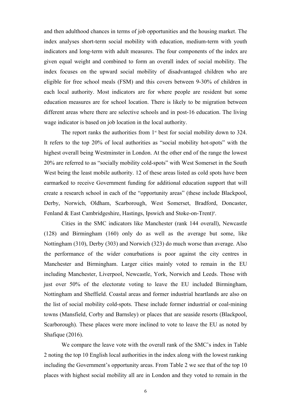and then adulthood chances in terms of job opportunities and the housing market. The index analyses short-term social mobility with education, medium-term with youth indicators and long-term with adult measures. The four components of the index are given equal weight and combined to form an overall index of social mobility. The index focuses on the upward social mobility of disadvantaged children who are eligible for free school meals (FSM) and this covers between 9-30% of children in each local authority. Most indicators are for where people are resident but some education measures are for school location. There is likely to be migration between different areas where there are selective schools and in post-16 education. The living wage indicator is based on job location in the local authority.

The report ranks the authorities from  $1<sup>st</sup>$  best for social mobility down to 324. It refers to the top 20% of local authorities as "social mobility hot-spots" with the highest overall being Westminster in London. At the other end of the range the lowest 20% are referred to as "socially mobility cold-spots" with West Somerset in the South West being the least mobile authority. 12 of these areas listed as cold spots have been earmarked to receive Government funding for additional education support that will create a research school in each of the "opportunity areas" (these include Blackpool, Derby, Norwich, Oldham, Scarborough, West Somerset, Bradford, Doncaster, Fenland & East Cambridgeshire, Hastings, Ipswich and Stoke-on-Trent)<sup>6</sup>. .

Cities in the SMC indicators like Manchester (rank 144 overall), Newcastle (128) and Birmingham (160) only do as well as the average but some, like Nottingham (310), Derby (303) and Norwich (323) do much worse than average. Also the performance of the wider conurbations is poor against the city centres in Manchester and Birmingham. Larger cities mainly voted to remain in the EU including Manchester, Liverpool, Newcastle, York, Norwich and Leeds. Those with just over 50% of the electorate voting to leave the EU included Birmingham, Nottingham and Sheffield. Coastal areas and former industrial heartlands are also on the list of social mobility cold-spots. These include former industrial or coal-mining towns (Mansfield, Corby and Barnsley) or places that are seaside resorts (Blackpool, Scarborough). These places were more inclined to vote to leave the EU as noted by Shafique (2016).

We compare the leave vote with the overall rank of the SMC's index in Table 2 noting the top 10 English local authorities in the index along with the lowest ranking including the Government's opportunity areas. From Table 2 we see that of the top 10 places with highest social mobility all are in London and they voted to remain in the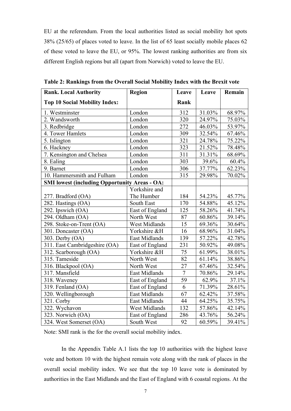EU at the referendum. From the local authorities listed as social mobility hot spots 38% (25/65) of places voted to leave. In the list of 65 least socially mobile places 62 of these voted to leave the EU, or 95%. The lowest ranking authorities are from six different English regions but all (apart from Norwich) voted to leave the EU.

| <b>Rank. Local Authority</b>                         | <b>Region</b>        | Leave          | Leave  | Remain |
|------------------------------------------------------|----------------------|----------------|--------|--------|
| <b>Top 10 Social Mobility Index:</b>                 |                      | Rank           |        |        |
| 1. Westminster                                       | London               | 312            | 31.03% | 68.97% |
| 2. Wandsworth                                        | London               | 320            | 24.97% | 75.03% |
| 3. Redbridge                                         | London               | 272            | 46.03% | 53.97% |
| 4. Tower Hamlets                                     | London               | 309            | 32.54% | 67.46% |
| 5. Islington                                         | London               | 321            | 24.78% | 75.22% |
| 6. Hackney                                           | London               | 323            | 21.52% | 78.48% |
| 7. Kensington and Chelsea                            | London               | 311            | 31.31% | 68.69% |
| 8. Ealing                                            | London               | 303            | 39.6%  | 60.4%  |
| 9. Barnet                                            | London               | 306            | 37.77% | 62.23% |
| 10. Hammersmith and Fulham                           | London               | 315            | 29.98% | 70.02% |
| <b>SMI lowest (including Opportunity Areas - OA:</b> |                      |                |        |        |
|                                                      | Yorkshire and        |                |        |        |
| 277. Bradford (OA)                                   | The Humber           | 184            | 54.23% | 45.77% |
| 282. Hastings (OA)                                   | South East           | 170            | 54.88% | 45.12% |
| 292. Ipswich (OA)                                    | East of England      | 125            | 58.26% | 41.74% |
| 294. Oldham (OA)                                     | North West           | 87             | 60.86% | 39.14% |
| 298. Stoke-on-Trent (OA)                             | West Midlands        | 15             | 69.36% | 30.64% |
| 301. Doncaster (OA)                                  | Yorkshire &H         | 16             | 68.96% | 31.04% |
| 303. Derby $(OA)$                                    | East Midlands        | 139            | 57.22% | 42.78% |
| 311. East Cambridgeshire (OA)                        | East of England      | 231            | 50.92% | 49.08% |
| 312. Scarborough (OA)                                | Yorkshire &H         | 75             | 61.99% | 38.01% |
| 315. Tameside                                        | North West           | 82             | 61.14% | 38.86% |
| 316. Blackpool (OA)                                  | North West           | 27             | 67.46% | 32.54% |
| 317. Mansfield                                       | East Midlands        | $\overline{7}$ | 70.86% | 29.14% |
| 318. Waveney                                         | East of England      | 59             | 62.9%  | 37.1%  |
| 319. Fenland (OA)                                    | East of England      | 6              | 71.39% | 28.61% |
| 320. Wellingborough                                  | East Midlands        | 67             | 62.42% | 37.58% |
| 321. Corby                                           | East Midlands        | 44             | 64.25% | 35.75% |
| 322. Wychavon                                        | <b>West Midlands</b> | 132            | 57.86% | 42.14% |
| 323. Norwich (OA)                                    | East of England      | 286            | 43.76% | 56.24% |
| 324. West Somerset (OA)                              | South West           | 92             | 60.59% | 39.41% |

**Table 2: Rankings from the Overall Social Mobility Index with the Brexit vote**

Note: SMI rank is the for the overall social mobility index.

In the Appendix Table A.1 lists the top 10 authorities with the highest leave vote and bottom 10 with the highest remain vote along with the rank of places in the overall social mobility index. We see that the top 10 leave vote is dominated by authorities in the East Midlands and the East of England with 6 coastal regions. At the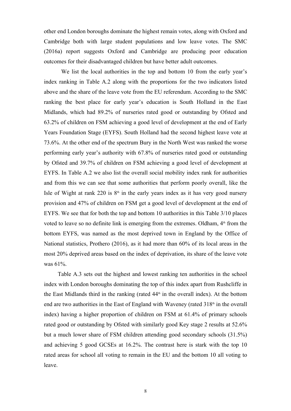other end London boroughs dominate the highest remain votes, along with Oxford and Cambridge both with large student populations and low leave votes. The SMC (2016a) report suggests Oxford and Cambridge are producing poor education outcomes for their disadvantaged children but have better adult outcomes.

We list the local authorities in the top and bottom 10 from the early year's index ranking in Table A.2 along with the proportions for the two indicators listed above and the share of the leave vote from the EU referendum. According to the SMC ranking the best place for early year's education is South Holland in the East Midlands, which had 89.2% of nurseries rated good or outstanding by Ofsted and 63.2% of children on FSM achieving a good level of development at the end of Early Years Foundation Stage (EYFS). South Holland had the second highest leave vote at 73.6%. At the other end of the spectrum Bury in the North West was ranked the worse performing early year's authority with 67.8% of nurseries rated good or outstanding by Ofsted and 39.7% of children on FSM achieving a good level of development at EYFS. In Table A.2 we also list the overall social mobility index rank for authorities and from this we can see that some authorities that perform poorly overall, like the Isle of Wight at rank 220 is  $8<sup>th</sup>$  in the early years index as it has very good nursery provision and 47% of children on FSM get a good level of development at the end of EYFS. We see that for both the top and bottom 10 authorities in this Table 3/10 places voted to leave so no definite link is emerging from the extremes. Oldham,  $4<sup>th</sup>$  from the bottom EYFS, was named as the most deprived town in England by the Office of National statistics, Prothero (2016), as it had more than 60% of its local areas in the most 20% deprived areas based on the index of deprivation, its share of the leave vote was 61%.

Table A.3 sets out the highest and lowest ranking ten authorities in the school index with London boroughs dominating the top of this index apart from Rushcliffe in the East Midlands third in the ranking (rated  $44<sup>th</sup>$  in the overall index). At the bottom end are two authorities in the East of England with Waveney (rated  $318<sup>th</sup>$  in the overall index) having a higher proportion of children on FSM at 61.4% of primary schools rated good or outstanding by Ofsted with similarly good Key stage 2 results at 52.6% but a much lower share of FSM children attending good secondary schools (31.5%) and achieving 5 good GCSEs at 16.2%. The contrast here is stark with the top 10 rated areas for school all voting to remain in the EU and the bottom 10 all voting to leave.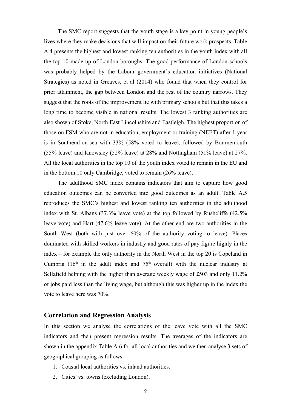The SMC report suggests that the youth stage is a key point in young people's lives where they make decisions that will impact on their future work prospects. Table A.4 presents the highest and lowest ranking ten authorities in the youth index with all the top 10 made up of London boroughs. The good performance of London schools was probably helped by the Labour government's education initiatives (National Strategies) as noted in Greaves, et al (2014) who found that when they control for prior attainment, the gap between London and the rest of the country narrows. They suggest that the roots of the improvement lie with primary schools but that this takes a long time to become visible in national results. The lowest 3 ranking authorities are also shown of Stoke, North East Lincolnshire and Eastleigh. The highest proportion of those on FSM who are not in education, employment or training (NEET) after 1 year is in Southend-on-sea with 33% (58% voted to leave), followed by Bournemouth (55% leave) and Knowsley (52% leave) at 28% and Nottingham (51% leave) at 27%. All the local authorities in the top 10 of the youth index voted to remain in the EU and in the bottom 10 only Cambridge, voted to remain (26% leave).

The adulthood SMC index contains indicators that aim to capture how good education outcomes can be converted into good outcomes as an adult. Table A.5 reproduces the SMC's highest and lowest ranking ten authorities in the adulthood index with St. Albans (37.3% leave vote) at the top followed by Rushcliffe (42.5% leave vote) and Hart (47.6% leave vote). At the other end are two authorities in the South West (both with just over 60% of the authority voting to leave). Places dominated with skilled workers in industry and good rates of pay figure highly in the index – for example the only authority in the North West in the top 20 is Copeland in Cumbria  $(16<sup>th</sup>$  in the adult index and  $75<sup>th</sup>$  overall) with the nuclear industry at Sellafield helping with the higher than average weekly wage of £503 and only 11.2% of jobs paid less than the living wage, but although this was higher up in the index the vote to leave here was 70%.

#### **Correlation and Regression Analysis**

In this section we analyse the correlations of the leave vote with all the SMC indicators and then present regression results. The averages of the indicators are shown in the appendix Table A.6 for all local authorities and we then analyse 3 sets of geographical grouping as follows:

- 1. Coastal local authorities vs. inland authorities.
- 2. Cities<sup>7</sup> vs. towns (excluding London).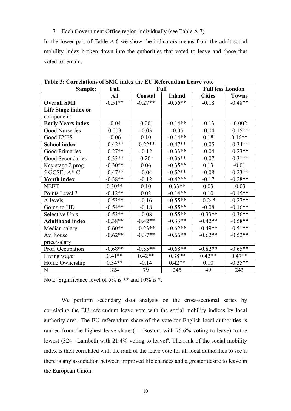3. Each Government Office region individually (see Table A.7).

In the lower part of Table A.6 we show the indicators means from the adult social mobility index broken down into the authorities that voted to leave and those that voted to remain.

| Sample:                  | <b>Full</b> |           | Full          |               | <b>Full less London</b> |
|--------------------------|-------------|-----------|---------------|---------------|-------------------------|
|                          | All         | Coastal   | <b>Inland</b> | <b>Cities</b> | <b>Towns</b>            |
| <b>Overall SMI</b>       | $-0.51**$   | $-0.27**$ | $-0.56**$     | $-0.18$       | $-0.48**$               |
| Life Stage index or      |             |           |               |               |                         |
| component:               |             |           |               |               |                         |
| <b>Early Years index</b> | $-0.04$     | $-0.001$  | $-0.14**$     | $-0.13$       | $-0.002$                |
| Good Nurseries           | 0.003       | $-0.03$   | $-0.05$       | $-0.04$       | $-0.15**$               |
| Good EYFS                | $-0.06$     | 0.10      | $-0.14**$     | 0.18          | $0.16**$                |
| <b>School index</b>      | $-0.42**$   | $-0.22**$ | $-0.47**$     | $-0.05$       | $-0.34**$               |
| <b>Good Primaries</b>    | $-0.27**$   | $-0.12$   | $-0.33**$     | $-0.04$       | $-0.23**$               |
| Good Secondaries         | $-0.33**$   | $-0.20*$  | $-0.36**$     | $-0.07$       | $-0.31**$               |
| Key stage 2 prog.        | $-0.30**$   | 0.06      | $-0.35**$     | 0.13          | $-0.01$                 |
| 5 GCSEs A*-C             | $-0.47**$   | $-0.04$   | $-0.52**$     | $-0.08$       | $-0.23**$               |
| <b>Youth index</b>       | $-0.38**$   | $-0.12$   | $-0.42**$     | $-0.17$       | $-0.28**$               |
| <b>NEET</b>              | $0.30**$    | 0.10      | $0.33**$      | 0.03          | $-0.03$                 |
| Points Level 3           | $-0.12**$   | 0.02      | $-0.14**$     | 0.10          | $-0.15**$               |
| A levels                 | $-0.53**$   | $-0.16$   | $-0.55**$     | $-0.24*$      | $-0.27**$               |
| Going to HE              | $-0.54**$   | $-0.18$   | $-0.55**$     | $-0.08$       | $-0.16**$               |
| Selective Unis.          | $-0.53**$   | $-0.08$   | $-0.55**$     | $-0.33**$     | $-0.36**$               |
| <b>Adulthood index</b>   | $-0.38**$   | $-0.42**$ | $-0.33**$     | $-0.42**$     | $-0.58**$               |
| Median salary            | $-0.60**$   | $-0.23**$ | $-0.62**$     | $-0.49**$     | $-0.51**$               |
| Av. house                | $-0.62**$   | $-0.37**$ | $-0.66**$     | $-0.62**$     | $-0.52**$               |
| price/salary             |             |           |               |               |                         |
| Prof. Occupation         | $-0.68**$   | $-0.55**$ | $-0.68**$     | $-0.82**$     | $-0.65**$               |
| Living wage              | $0.41**$    | $0.42**$  | $0.38**$      | $0.42**$      | $0.47**$                |
| Home Ownership           | $0.34**$    | $-0.14$   | $0.42**$      | 0.10          | $-0.35**$               |
| N                        | 324         | 79        | 245           | 49            | 243                     |

**Table 3: Correlations of SMC index the EU Referendum Leave vote**

Note: Significance level of 5% is \*\* and 10% is \*.

We perform secondary data analysis on the cross-sectional series by correlating the EU referendum leave vote with the social mobility indices by local authority area. The EU referendum share of the vote for English local authorities is ranked from the highest leave share (1= Boston, with 75.6% voting to leave) to the lowest (324 = Lambeth with 21.4% voting to leave)<sup>8</sup>. The rank of the social mobility index is then correlated with the rank of the leave vote for all local authorities to see if there is any association between improved life chances and a greater desire to leave in the European Union.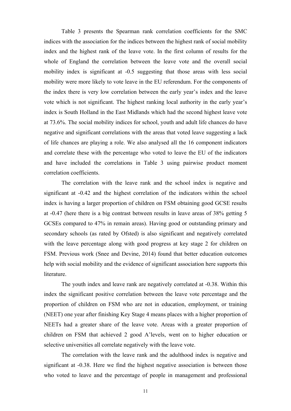Table 3 presents the Spearman rank correlation coefficients for the SMC indices with the association for the indices between the highest rank of social mobility index and the highest rank of the leave vote. In the first column of results for the whole of England the correlation between the leave vote and the overall social mobility index is significant at -0.5 suggesting that those areas with less social mobility were more likely to vote leave in the EU referendum. For the components of the index there is very low correlation between the early year's index and the leave vote which is not significant. The highest ranking local authority in the early year's index is South Holland in the East Midlands which had the second highest leave vote at 73.6%. The social mobility indices for school, youth and adult life chances do have negative and significant correlations with the areas that voted leave suggesting a lack of life chances are playing a role. We also analysed all the 16 component indicators and correlate these with the percentage who voted to leave the EU of the indicators and have included the correlations in Table 3 using pairwise product moment correlation coefficients.

The correlation with the leave rank and the school index is negative and significant at -0.42 and the highest correlation of the indicators within the school index is having a larger proportion of children on FSM obtaining good GCSE results at -0.47 (here there is a big contrast between results in leave areas of 38% getting 5 GCSEs compared to 47% in remain areas). Having good or outstanding primary and secondary schools (as rated by Ofsted) is also significant and negatively correlated with the leave percentage along with good progress at key stage 2 for children on FSM. Previous work (Snee and Devine, 2014) found that better education outcomes help with social mobility and the evidence of significant association here supports this literature.

The youth index and leave rank are negatively correlated at -0.38. Within this index the significant positive correlation between the leave vote percentage and the proportion of children on FSM who are not in education, employment, or training (NEET) one year after finishing Key Stage 4 means places with a higher proportion of NEETs had a greater share of the leave vote. Areas with a greater proportion of children on FSM that achieved 2 good A'levels, went on to higher education or selective universities all correlate negatively with the leave vote.

The correlation with the leave rank and the adulthood index is negative and significant at -0.38. Here we find the highest negative association is between those who voted to leave and the percentage of people in management and professional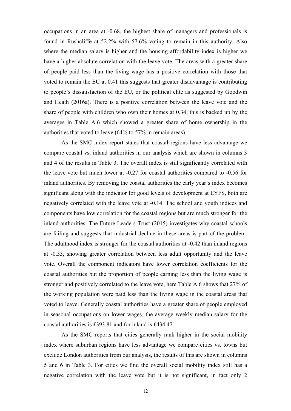occupations in an area at -0.68, the highest share of managers and professionals is found in Rushcliffe at 52.2% with 57.6% voting to remain in this authority. Also where the median salary is higher and the housing affordability index is higher we have a higher absolute correlation with the leave vote. The areas with a greater share of people paid less than the living wage has a positive correlation with those that voted to remain the EU at 0.41 this suggests that greater disadvantage is contributing to people's dissatisfaction of the EU, or the political elite as suggested by Goodwin and Heath (2016a). There is a positive correlation between the leave vote and the share of people with children who own their homes at 0.34, this is backed up by the averages in Table A.6 which showed a greater share of home ownership in the authorities that voted to leave (64% to 57% in remain areas).

As the SMC index report states that coastal regions have less advantage we compare coastal vs. inland authorities in our analysis which are shown in columns 3 and 4 of the results in Table 3. The overall index is still significantly correlated with the leave vote but much lower at -0.27 for coastal authorities compared to -0.56 for inland authorities. By removing the coastal authorities the early year's index becomes significant along with the indicator for good levels of development at EYFS, both are negatively correlated with the leave vote at -0.14. The school and youth indices and components have low correlation for the coastal regions but are much stronger for the inland authorities. The Future Leaders Trust (2015) investigates why coastal schools are failing and suggests that industrial decline in these areas is part of the problem. The adulthood index is stronger for the coastal authorities at -0.42 than inland regions at -0.33, showing greater correlation between less adult opportunity and the leave vote. Overall the component indicators have lower correlation coefficients for the coastal authorities but the proportion of people earning less than the living wage is stronger and positively correlated to the leave vote, here Table A.6 shows that 27% of the working population were paid less than the living wage in the coastal areas that voted to leave. Generally coastal authorities have a greater share of people employed in seasonal occupations on lower wages, the average weekly median salary for the coastal authorities is £393.81 and for inland is £434.47.

As the SMC reports that cities generally rank higher in the social mobility index where suburban regions have less advantage we compare cities vs. towns but exclude London authorities from our analysis, the results of this are shown in columns 5 and 6 in Table 3. For cities we find the overall social mobility index still has a negative correlation with the leave vote but it is not significant, in fact only 2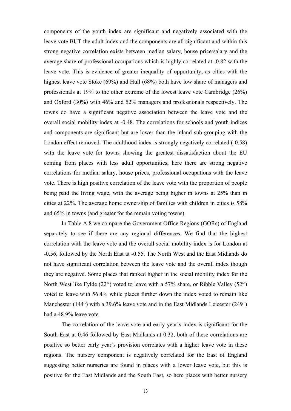components of the youth index are significant and negatively associated with the leave vote BUT the adult index and the components are all significant and within this strong negative correlation exists between median salary, house price/salary and the average share of professional occupations which is highly correlated at -0.82 with the leave vote. This is evidence of greater inequality of opportunity, as cities with the highest leave vote Stoke (69%) and Hull (68%) both have low share of managers and professionals at 19% to the other extreme of the lowest leave vote Cambridge (26%) and Oxford (30%) with 46% and 52% managers and professionals respectively. The towns do have a significant negative association between the leave vote and the overall social mobility index at -0.48. The correlations for schools and youth indices and components are significant but are lower than the inland sub-grouping with the London effect removed. The adulthood index is strongly negatively correlated (-0.58) with the leave vote for towns showing the greatest dissatisfaction about the EU coming from places with less adult opportunities, here there are strong negative correlations for median salary, house prices, professional occupations with the leave vote. There is high positive correlation of the leave vote with the proportion of people being paid the living wage, with the average being higher in towns at 25% than in cities at 22%. The average home ownership of families with children in cities is 58% and 65% in towns (and greater for the remain voting towns).

In Table A.8 we compare the Government Office Regions (GORs) of England separately to see if there are any regional differences. We find that the highest correlation with the leave vote and the overall social mobility index is for London at -0.56, followed by the North East at -0.55. The North West and the East Midlands do not have significant correlation between the leave vote and the overall index though they are negative. Some places that ranked higher in the social mobility index for the North West like Fylde ( $22<sup>nd</sup>$ ) voted to leave with a 57% share, or Ribble Valley ( $52<sup>nd</sup>$ ) voted to leave with 56.4% while places further down the index voted to remain like Manchester (144<sup>th</sup>) with a 39.6% leave vote and in the East Midlands Leicester (249<sup>th</sup>) had a 48.9% leave vote.

The correlation of the leave vote and early year's index is significant for the South East at 0.46 followed by East Midlands at 0.32, both of these correlations are positive so better early year's provision correlates with a higher leave vote in these regions. The nursery component is negatively correlated for the East of England suggesting better nurseries are found in places with a lower leave vote, but this is positive for the East Midlands and the South East, so here places with better nursery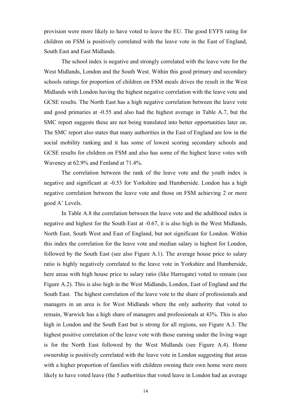provision were more likely to have voted to leave the EU. The good EYFS rating for children on FSM is positively correlated with the leave vote in the East of England, South East and East Midlands.

The school index is negative and strongly correlated with the leave vote for the West Midlands, London and the South West. Within this good primary and secondary schools ratings for proportion of children on FSM meals drives the result in the West Midlands with London having the highest negative correlation with the leave vote and GCSE results. The North East has a high negative correlation between the leave vote and good primaries at -0.55 and also had the highest average in Table A.7, but the SMC report suggests these are not being translated into better opportunities later on. The SMC report also states that many authorities in the East of England are low in the social mobility ranking and it has some of lowest scoring secondary schools and GCSE results for children on FSM and also has some of the highest leave votes with Waveney at 62.9% and Fenland at 71.4%.

The correlation between the rank of the leave vote and the youth index is negative and significant at -0.53 for Yorkshire and Humberside. London has a high negative correlation between the leave vote and those on FSM achieving 2 or more good A' Levels.

In Table A.8 the correlation between the leave vote and the adulthood index is negative and highest for the South East at -0.67, it is also high in the West Midlands, North East, South West and East of England, but not significant for London. Within this index the correlation for the leave vote and median salary is highest for London, followed by the South East (see also Figure A.1). The average house price to salary ratio is highly negatively correlated to the leave vote in Yorkshire and Humberside, here areas with high house price to salary ratio (like Harrogate) voted to remain (see Figure A.2). This is also high in the West Midlands, London, East of England and the South East. The highest correlation of the leave vote to the share of professionals and managers in an area is for West Midlands where the only authority that voted to remain, Warwick has a high share of managers and professionals at 43%. This is also high in London and the South East but is strong for all regions, see Figure A.3. The highest positive correlation of the leave vote with those earning under the living wage is for the North East followed by the West Midlands (see Figure A.4). Home ownership is positively correlated with the leave vote in London suggesting that areas with a higher proportion of families with children owning their own home were more likely to have voted leave (the 5 authorities that voted leave in London had an average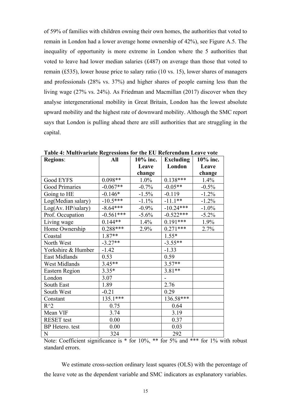of 59% of families with children owning their own homes, the authorities that voted to remain in London had a lower average home ownership of 42%), see Figure A.5. The inequality of opportunity is more extreme in London where the 5 authorities that voted to leave had lower median salaries (£487) on average than those that voted to remain (£535), lower house price to salary ratio (10 vs. 15), lower shares of managers and professionals (28% vs. 37%) and higher shares of people earning less than the living wage (27% vs. 24%). As Friedman and Macmillan (2017) discover when they analyse intergenerational mobility in Great Britain, London has the lowest absolute upward mobility and the highest rate of downward mobility. Although the SMC report says that London is pulling ahead there are still authorities that are struggling in the capital.

| <b>Regions:</b>    | All         | 10% inc. | <b>Excluding</b> | 10% inc. |
|--------------------|-------------|----------|------------------|----------|
|                    |             | Leave    | London           | Leave    |
|                    |             | change   |                  | change   |
| Good EYFS          | $0.098**$   | $1.0\%$  | $0.138***$       | 1.4%     |
| Good Primaries     | $-0.067**$  | $-0.7\%$ | $-0.05**$        | $-0.5\%$ |
| Going to HE        | $-0.146*$   | $-1.5%$  | $-0.119$         | $-1.2\%$ |
| Log(Median salary) | $-10.5***$  | $-1.1\%$ | $-11.1***$       | $-1.2\%$ |
| Log(Av. HP/salary) | $-8.64***$  | $-0.9\%$ | $-10.24***$      | $-1.0\%$ |
| Prof. Occupation   | $-0.561***$ | $-5.6\%$ | $-0.522***$      | $-5.2\%$ |
| Living wage        | $0.144**$   | 1.4%     | $0.191***$       | $1.9\%$  |
| Home Ownership     | $0.288***$  | 2.9%     | $0.271***$       | 2.7%     |
| Coastal            | 1.87**      |          | $1.55*$          |          |
| North West         | $-3.27**$   |          | $-3.55**$        |          |
| Yorkshire & Humber | $-1.42$     |          | $-1.33$          |          |
| East Midlands      | 0.53        |          | 0.59             |          |
| West Midlands      | $3.45**$    |          | $3.57**$         |          |
| Eastern Region     | $3.35*$     |          | $3.81**$         |          |
| London             | 3.07        |          |                  |          |
| South East         | 1.89        |          | 2.76             |          |
| South West         | $-0.21$     |          | 0.29             |          |
| Constant           | $135.1***$  |          | 136.58***        |          |
| $R^{\wedge}2$      | 0.75        |          | 0.64             |          |
| Mean VIF           | 3.74        |          | 3.19             |          |
| <b>RESET</b> test  | 0.00        |          | 0.37             |          |
| BP Hetero. test    | 0.00        |          | 0.03             |          |
| N                  | 324         |          | 292              |          |

**Table 4: Multivariate Regressions for the EU Referendum Leave vote**

Note: Coefficient significance is  $*$  for 10%,  $**$  for 5% and  $**$  for 1% with robust standard errors.

We estimate cross-section ordinary least squares (OLS) with the percentage of the leave vote as the dependent variable and SMC indicators as explanatory variables.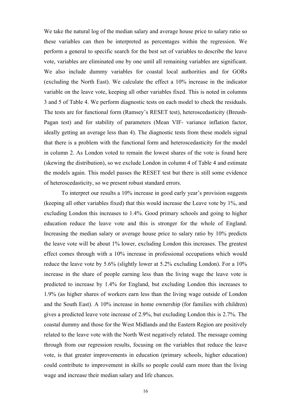We take the natural log of the median salary and average house price to salary ratio so these variables can then be interpreted as percentages within the regression. We perform a general to specific search for the best set of variables to describe the leave vote, variables are eliminated one by one until all remaining variables are significant. We also include dummy variables for coastal local authorities and for GORs (excluding the North East). We calculate the effect a 10% increase in the indicator variable on the leave vote, keeping all other variables fixed. This is noted in columns 3 and 5 of Table 4. We perform diagnostic tests on each model to check the residuals. The tests are for functional form (Ramsey's RESET test), heteroscedasticity (Breush-Pagan test) and for stability of parameters (Mean VIF- variance inflation factor, ideally getting an average less than 4). The diagnostic tests from these models signal that there is a problem with the functional form and heteroscedasticity for the model in column 2. As London voted to remain the lowest shares of the vote is found here (skewing the distribution), so we exclude London in column 4 of Table 4 and estimate the models again. This model passes the RESET test but there is still some evidence of heteroscedasticity, so we present robust standard errors.

To interpret our results a 10% increase in good early year's provision suggests (keeping all other variables fixed) that this would increase the Leave vote by 1%, and excluding London this increases to 1.4%. Good primary schools and going to higher education reduce the leave vote and this is stronger for the whole of England. Increasing the median salary or average house price to salary ratio by 10% predicts the leave vote will be about 1% lower, excluding London this increases. The greatest effect comes through with a 10% increase in professional occupations which would reduce the leave vote by 5.6% (slightly lower at 5.2% excluding London). For a 10% increase in the share of people earning less than the living wage the leave vote is predicted to increase by 1.4% for England, but excluding London this increases to 1.9% (as higher shares of workers earn less than the living wage outside of London and the South East). A 10% increase in home ownership (for families with children) gives a predicted leave vote increase of 2.9%, but excluding London this is 2.7%. The coastal dummy and those for the West Midlands and the Eastern Region are positively related to the leave vote with the North West negatively related. The message coming through from our regression results, focusing on the variables that reduce the leave vote, is that greater improvements in education (primary schools, higher education) could contribute to improvement in skills so people could earn more than the living wage and increase their median salary and life chances.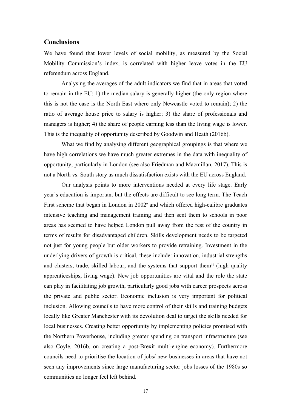#### **Conclusions**

We have found that lower levels of social mobility, as measured by the Social Mobility Commission's index, is correlated with higher leave votes in the EU referendum across England.

Analysing the averages of the adult indicators we find that in areas that voted to remain in the EU: 1) the median salary is generally higher (the only region where this is not the case is the North East where only Newcastle voted to remain); 2) the ratio of average house price to salary is higher; 3) the share of professionals and managers is higher; 4) the share of people earning less than the living wage is lower. This is the inequality of opportunity described by Goodwin and Heath (2016b).

What we find by analysing different geographical groupings is that where we have high correlations we have much greater extremes in the data with inequality of opportunity, particularly in London (see also Friedman and Macmillan, 2017). This is not a North vs. South story as much dissatisfaction exists with the EU across England.

Our analysis points to more interventions needed at every life stage. Early year's education is important but the effects are difficult to see long term. The Teach First scheme that began in London in 2002<sup>9</sup> and which offered high-calibre graduates intensive teaching and management training and then sent them to schools in poor areas has seemed to have helped London pull away from the rest of the country in terms of results for disadvantaged children. Skills development needs to be targeted not just for young people but older workers to provide retraining. Investment in the underlying drivers of growth is critical, these include: innovation, industrial strengths and clusters, trade, skilled labour, and the systems that support them<sup>10</sup> (high quality apprenticeships, living wage). New job opportunities are vital and the role the state can play in facilitating job growth, particularly good jobs with career prospects across the private and public sector. Economic inclusion is very important for political inclusion. Allowing councils to have more control of their skills and training budgets locally like Greater Manchester with its devolution deal to target the skills needed for local businesses. Creating better opportunity by implementing policies promised with the Northern Powerhouse, including greater spending on transport infrastructure (see also Coyle, 2016b, on creating a post-Brexit multi-engine economy). Furthermore councils need to prioritise the location of jobs/ new businesses in areas that have not seen any improvements since large manufacturing sector jobs losses of the 1980s so communities no longer feel left behind.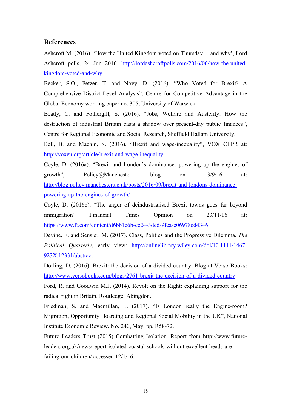#### **References**

Ashcroft M. (2016). 'How the United Kingdom voted on Thursday… and why', Lord Ashcroft polls, 24 Jun 2016. http://lordashcroftpolls.com/2016/06/how-the-unitedkingdom-voted-and-why.

Becker, S.O., Fetzer, T. and Novy, D. (2016). "Who Voted for Brexit? A Comprehensive District-Level Analysis", Centre for Competitive Advantage in the Global Economy working paper no. 305, University of Warwick.

Beatty, C. and Fothergill, S. (2016). "Jobs, Welfare and Austerity: How the destruction of industrial Britain casts a shadow over present-day public finances", Centre for Regional Economic and Social Research, Sheffield Hallam University.

Bell, B. and Machin, S. (2016). "Brexit and wage-inequality", VOX CEPR at: http://voxeu.org/article/brexit-and-wage-inequality.

Coyle, D. (2016a). "Brexit and London's dominance: powering up the engines of growth", Policy@Manchester blog on 13/9/16 at: http://blog.policy.manchester.ac.uk/posts/2016/09/brexit-and-londons-dominancepowering-up-the-engines-of-growth/

Coyle, D. (2016b). "The anger of deindustrialised Brexit towns goes far beyond immigration" Financial Times Opinion on 23/11/16 at: https://www.ft.com/content/d6bb1c6b-ce24-3ded-9fea-e06978ed4346

Devine, F. and Sensier, M. (2017). Class, Politics and the Progressive Dilemma, *The Political Quarterly*, early view: http://onlinelibrary.wiley.com/doi/10.1111/1467- 923X.12331/abstract

Dorling, D. (2016). Brexit: the decision of a divided country. Blog at Verso Books: http://www.versobooks.com/blogs/2761-brexit-the-decision-of-a-divided-country

Ford, R. and Goodwin M.J. (2014). Revolt on the Right: explaining support for the radical right in Britain. Routledge: Abingdon.

Friedman, S. and Macmillan, L. (2017). "Is London really the Engine-room? Migration, Opportunity Hoarding and Regional Social Mobility in the UK", National Institute Economic Review, No. 240, May, pp. R58-72.

Future Leaders Trust (2015) Combatting Isolation. Report from http://www.futureleaders.org.uk/news/report-isolated-coastal-schools-without-excellent-heads-arefailing-our-children/ accessed 12/1/16.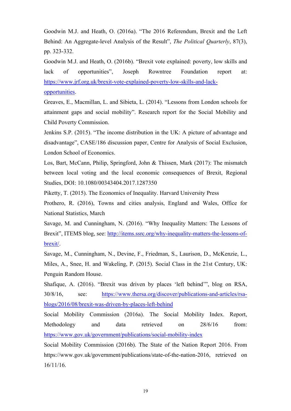Goodwin M.J. and Heath, O. (2016a). "The 2016 Referendum, Brexit and the Left Behind: An Aggregate-level Analysis of the Result", *The Political Quarterly*, 87(3), pp. 323-332.

Goodwin M.J. and Heath, O. (2016b). "Brexit vote explained: poverty, low skills and lack of opportunities", Joseph Rowntree Foundation report at: https://www.jrf.org.uk/brexit-vote-explained-poverty-low-skills-and-lack-

opportunities. Greaves, E., Macmillan, L. and Sibieta, L. (2014). "Lessons from London schools for attainment gaps and social mobility". Research report for the Social Mobility and Child Poverty Commission.

Jenkins S.P. (2015). "The income distribution in the UK: A picture of advantage and disadvantage", CASE/186 discussion paper, Centre for Analysis of Social Exclusion, London School of Economics.

Los, Bart, McCann, Philip, Springford, John & Thissen, Mark (2017): The mismatch between local voting and the local economic consequences of Brexit, Regional Studies, DOI: 10.1080/00343404.2017.1287350

Piketty, T. (2015). The Economics of Inequality. Harvard University Press

Prothero, R. (2016), Towns and cities analysis, England and Wales, Office for National Statistics, March

Savage, M. and Cunningham, N. (2016). "Why Inequality Matters: The Lessons of Brexit", ITEMS blog, see: http://items.ssrc.org/why-inequality-matters-the-lessons-ofbrexit/.

Savage, M., Cunningham, N., Devine, F., Friedman, S., Laurison, D., McKenzie, L., Miles, A., Snee, H. and Wakeling, P. (2015). Social Class in the 21st Century, UK: Penguin Random House.

Shafique, A. (2016). "Brexit was driven by places 'left behind'", blog on RSA, 30/8/16, see: https://www.thersa.org/discover/publications-and-articles/rsablogs/2016/08/brexit-was-driven-by-places-left-behind

Social Mobility Commission (2016a). The Social Mobility Index. Report, Methodology and data retrieved on 28/6/16 from: https://www.gov.uk/government/publications/social-mobility-index

Social Mobility Commission (2016b). The State of the Nation Report 2016. From https://www.gov.uk/government/publications/state-of-the-nation-2016, retrieved on 16/11/16.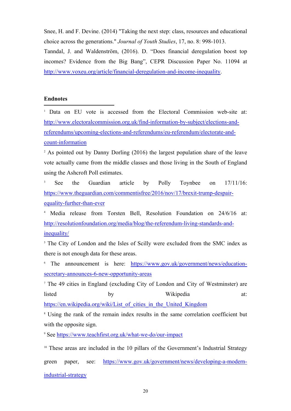Snee, H. and F. Devine. (2014) "Taking the next step: class, resources and educational choice across the generations." *Journal of Youth Studies*, 17, no. 8: 998-1013. Tanndal, J. and Waldenström, (2016). D. "Does financial deregulation boost top incomes? Evidence from the Big Bang", CEPR Discussion Paper No. 11094 at http://www.voxeu.org/article/financial-deregulation-and-income-inequality.

#### **Endnotes**

<sup>1</sup> Data on EU vote is accessed from the Electoral Commission web-site at: http://www.electoralcommission.org.uk/find-information-by-subject/elections-andreferendums/upcoming-elections-and-referendums/eu-referendum/electorate-andcount-information

<sup>2</sup> As pointed out by Danny Dorling (2016) the largest population share of the leave vote actually came from the middle classes and those living in the South of England using the Ashcroft Poll estimates.

<sup>3</sup> See the Guardian article by Polly Toynbee on 17/11/16: https://www.theguardian.com/commentisfree/2016/nov/17/brexit-trump-despairequality-further-than-ever

<sup>4</sup> Media release from Torsten Bell, Resolution Foundation on 24/6/16 at: http://resolutionfoundation.org/media/blog/the-referendum-living-standards-andinequality/

<sup>5</sup> The City of London and the Isles of Scilly were excluded from the SMC index as there is not enough data for these areas.

<sup>6</sup> The announcement is here: https://www.gov.uk/government/news/educationsecretary-announces-6-new-opportunity-areas

<sup>7</sup> The 49 cities in England (excluding City of London and City of Westminster) are listed by by Wikipedia at:

https://en.wikipedia.org/wiki/List\_of\_cities\_in\_the\_United\_Kingdom

<sup>8</sup> Using the rank of the remain index results in the same correlation coefficient but with the opposite sign.

<sup>9</sup> See https://www.teachfirst.org.uk/what-we-do/our-impact

<sup>10</sup> These areas are included in the 10 pillars of the Government's Industrial Strategy

green paper, see: https://www.gov.uk/government/news/developing-a-modernindustrial-strategy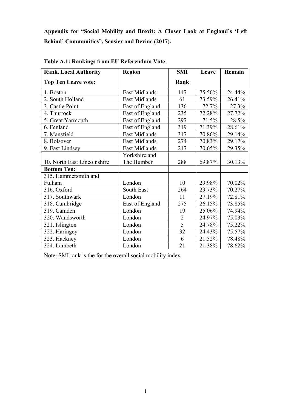**Appendix for "Social Mobility and Brexit: A Closer Look at England's 'Left Behind' Communities", Sensier and Devine (2017).**

| <b>Rank. Local Authority</b> | <b>Region</b>   | <b>SMI</b>     | Leave  | Remain |
|------------------------------|-----------------|----------------|--------|--------|
| <b>Top Ten Leave vote:</b>   |                 | Rank           |        |        |
| 1. Boston                    | East Midlands   | 147            | 75.56% | 24.44% |
| 2. South Holland             | East Midlands   | 61             | 73.59% | 26.41% |
| 3. Castle Point              | East of England | 136            | 72.7%  | 27.3%  |
| 4. Thurrock                  | East of England | 235            | 72.28% | 27.72% |
| 5. Great Yarmouth            | East of England | 297            | 71.5%  | 28.5%  |
| 6. Fenland                   | East of England | 319            | 71.39% | 28.61% |
| 7. Mansfield                 | East Midlands   | 317            | 70.86% | 29.14% |
| 8. Bolsover                  | East Midlands   | 274            | 70.83% | 29.17% |
| 9. East Lindsey              | East Midlands   | 217            | 70.65% | 29.35% |
|                              | Yorkshire and   |                |        |        |
| 10. North East Lincolnshire  | The Humber      | 288            | 69.87% | 30.13% |
| <b>Bottom Ten:</b>           |                 |                |        |        |
| 315. Hammersmith and         |                 |                |        |        |
| Fulham                       | London          | 10             | 29.98% | 70.02% |
| 316. Oxford                  | South East      | 264            | 29.73% | 70.27% |
| 317. Southwark               | London          | 11             | 27.19% | 72.81% |
| 318. Cambridge               | East of England | 275            | 26.15% | 73.85% |
| 319. Camden                  | London          | 19             | 25.06% | 74.94% |
| 320. Wandsworth              | London          | $\overline{2}$ | 24.97% | 75.03% |
| 321. Islington               | London          | 5              | 24.78% | 75.22% |
| 322. Haringey                | London          | 32             | 24.43% | 75.57% |
| 323. Hackney                 | London          | 6              | 21.52% | 78.48% |
| 324. Lambeth                 | London          | 21             | 21.38% | 78.62% |

**Table A.1: Rankings from EU Referendum Vote**

Note: SMI rank is the for the overall social mobility index.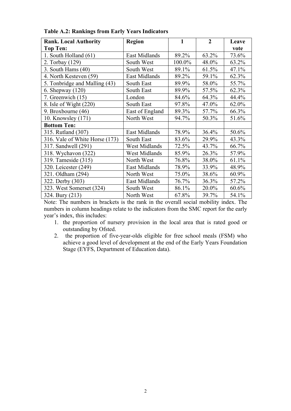| <b>Rank. Local Authority</b>   | <b>Region</b>        | 1      | $\overline{2}$ | Leave    |
|--------------------------------|----------------------|--------|----------------|----------|
| <b>Top Ten:</b>                |                      |        |                | vote     |
| 1. South Holland (61)          | <b>East Midlands</b> | 89.2%  | 63.2%          | 73.6%    |
| 2. Torbay (129)                | South West           | 100.0% | 48.0%          | 63.2%    |
| 3. South Hams $(40)$           | South West           | 89.1%  | 61.5%          | 47.1%    |
| 4. North Kesteven (59)         | East Midlands        | 89.2%  | 59.1%          | 62.3%    |
| 5. Tonbridge and Malling (43)  | South East           | 89.9%  | 58.0%          | 55.7%    |
| 6. Shepway $(120)$             | South East           | 89.9%  | 57.5%          | 62.3%    |
| 7. Greenwich (15)              | London               | 84.6%  | 64.3%          | 44.4%    |
| 8. Isle of Wight $(220)$       | South East           | 97.8%  | 47.0%          | 62.0%    |
| 9. Broxbourne (46)             | East of England      | 89.3%  | 57.7%          | 66.3%    |
| 10. Knowsley (171)             | North West           | 94.7%  | 50.3%          | 51.6%    |
| <b>Bottom Ten:</b>             |                      |        |                |          |
| 315. Rutland (307)             | <b>East Midlands</b> | 78.9%  | 36.4%          | 50.6%    |
| 316. Vale of White Horse (173) | South East           | 83.6%  | 29.9%          | 43.3%    |
| 317. Sandwell (291)            | West Midlands        | 72.5%  | 43.7%          | 66.7%    |
| 318. Wychavon (322)            | <b>West Midlands</b> | 85.9%  | 26.3%          | 57.9%    |
| 319. Tameside (315)            | North West           | 76.8%  | 38.0%          | 61.1%    |
| 320. Leicester (249)           | East Midlands        | 78.9%  | 33.9%          | 48.9%    |
| 321. Oldham (294)              | North West           | 75.0%  | 38.6%          | $60.9\%$ |
| 322. Derby (303)               | East Midlands        | 76.7%  | 36.3%          | 57.2%    |
| 323. West Somerset (324)       | South West           | 86.1%  | 20.0%          | 60.6%    |
| 324. Bury (213)                | North West           | 67.8%  | 39.7%          | 54.1%    |

**Table A.2: Rankings from Early Years Indicators**

Note: The numbers in brackets is the rank in the overall social mobility index. The numbers in column headings relate to the indicators from the SMC report for the early year's index, this includes:

- 1. the proportion of nursery provision in the local area that is rated good or outstanding by Ofsted.
- 2. the proportion of five-year-olds eligible for free school meals (FSM) who achieve a good level of development at the end of the Early Years Foundation Stage (EYFS, Department of Education data).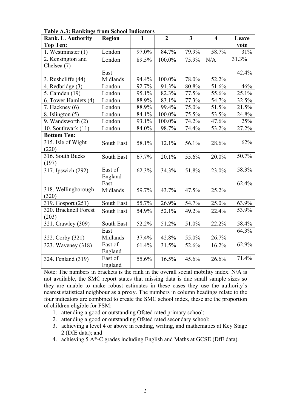| Rank. L. Authority    | <b>Region</b> | 1     | $\overline{2}$ | $\mathbf{3}$ | 4     | Leave |
|-----------------------|---------------|-------|----------------|--------------|-------|-------|
| <b>Top Ten:</b>       |               |       |                |              |       | vote  |
| 1. Westminster $(1)$  | London        | 97.0% | 84.7%          | 79.9%        | 58.7% | 31%   |
| 2. Kensington and     | London        | 89.5% | 100.0%         | 75.9%        | N/A   | 31.3% |
| Chelsea (7)           |               |       |                |              |       |       |
|                       | East          |       |                |              |       | 42.4% |
| 3. Rushcliffe (44)    | Midlands      | 94.4% | 100.0%         | 78.0%        | 52.2% |       |
| 4. Redbridge (3)      | London        | 92.7% | 91.3%          | 80.8%        | 51.6% | 46%   |
| 5. Camden (19)        | London        | 95.1% | 82.3%          | 77.5%        | 55.6% | 25.1% |
| 6. Tower Hamlets (4)  | London        | 88.9% | 83.1%          | 77.3%        | 54.7% | 32.5% |
| 7. Hackney $(6)$      | London        | 88.9% | 99.4%          | 75.0%        | 51.5% | 21.5% |
| 8. Islington $(5)$    | London        | 84.1% | 100.0%         | 75.5%        | 53.5% | 24.8% |
| 9. Wandsworth (2)     | London        | 93.1% | 100.0%         | 74.2%        | 47.6% | 25%   |
| 10. Southwark $(11)$  | London        | 84.0% | 98.7%          | 74.4%        | 53.2% | 27.2% |
| <b>Bottom Ten:</b>    |               |       |                |              |       |       |
| 315. Isle of Wight    | South East    | 58.1% | 12.1%          | 56.1%        | 28.6% | 62%   |
| (220)                 |               |       |                |              |       |       |
| 316. South Bucks      | South East    | 67.7% | 20.1%          | 55.6%        | 20.0% | 50.7% |
| (197)                 |               |       |                |              |       |       |
| 317. Ipswich (292)    | East of       | 62.3% | 34.3%          | 51.8%        | 23.0% | 58.3% |
|                       | England       |       |                |              |       |       |
|                       | East          |       |                |              |       | 62.4% |
| 318. Wellingborough   | Midlands      | 59.7% | 43.7%          | 47.5%        | 25.2% |       |
| (320)                 |               |       |                |              |       |       |
| 319. Gosport (251)    | South East    | 55.7% | 26.9%          | 54.7%        | 25.0% | 63.9% |
| 320. Bracknell Forest | South East    | 54.9% | 52.1%          | 49.2%        | 22.4% | 53.9% |
| (203)                 |               |       |                |              |       |       |
| 321. Crawley (309)    | South East    | 52.2% | 51.2%          | 51.0%        | 22.2% | 58.4% |
|                       | East          |       |                |              |       | 64.3% |
| 322. Corby (321)      | Midlands      | 37.4% | 42.8%          | 55.0%        | 26.7% |       |
| 323. Waveney (318)    | East of       | 61.4% | 31.5%          | 52.6%        | 16.2% | 62.9% |
|                       | England       |       |                |              |       |       |
| 324. Fenland (319)    | East of       | 55.6% | 16.5%          | 45.6%        | 26.6% | 71.4% |
|                       | England       |       |                |              |       |       |

**Table A.3: Rankings from School Indicators**

Note: The numbers in brackets is the rank in the overall social mobility index. N/A is not available, the SMC report states that missing data is due small sample sizes so they are unable to make robust estimates in these cases they use the authority's nearest statistical neighbour as a proxy. The numbers in column headings relate to the four indicators are combined to create the SMC school index, these are the proportion of children eligible for FSM:

- 1. attending a good or outstanding Ofsted rated primary school;
- 2. attending a good or outstanding Ofsted rated secondary school;
- 3. achieving a level 4 or above in reading, writing, and mathematics at Key Stage 2 (DfE data); and
- 4. achieving 5 A\*-C grades including English and Maths at GCSE (DfE data).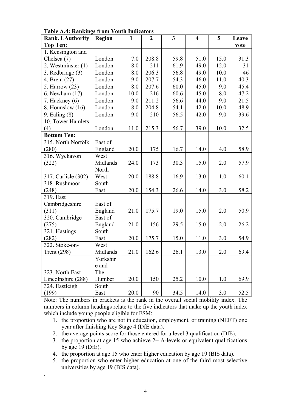| <b>Rank. LAuthority</b> | <b>Region</b> | $\mathbf{1}$ | $\overline{2}$ | $\mathbf{3}$ | $\overline{\mathbf{4}}$ | 5    | Leave |
|-------------------------|---------------|--------------|----------------|--------------|-------------------------|------|-------|
| <b>Top Ten:</b>         |               |              |                |              |                         |      | vote  |
| 1. Kensington and       |               |              |                |              |                         |      |       |
| Chelsea (7)             | London        | 7.0          | 208.8          | 59.8         | 51.0                    | 15.0 | 31.3  |
| 2. Westminster (1)      | London        | 8.0          | 211            | 61.9         | 49.0                    | 12.0 | 31    |
| 3. Redbridge (3)        | London        | 8.0          | 206.3          | 56.8         | 49.0                    | 10.0 | 46    |
| 4. Brent (27)           | London        | 9.0          | 207.7          | 54.3         | 46.0                    | 11.0 | 40.3  |
| 5. Harrow (23)          | London        | 8.0          | 207.6          | 60.0         | 45.0                    | 9.0  | 45.4  |
| 6. Newham (17)          | London        | 10.0         | 216            | 60.6         | 45.0                    | 8.0  | 47.2  |
| 7. Hackney $(6)$        | London        | 9.0          | 211.2          | 56.6         | 44.0                    | 9.0  | 21.5  |
| 8. Hounslow (16)        | London        | 8.0          | 204.8          | 54.1         | 42.0                    | 10.0 | 48.9  |
| 9. Ealing (8)           | London        | 9.0          | 210            | 56.5         | 42.0                    | 9.0  | 39.6  |
| 10. Tower Hamlets       |               |              |                |              |                         |      |       |
| (4)                     | London        | 11.0         | 215.3          | 56.7         | 39.0                    | 10.0 | 32.5  |
| <b>Bottom Ten:</b>      |               |              |                |              |                         |      |       |
| 315. North Norfolk      | East of       |              |                |              |                         |      |       |
| (280)                   | England       | 20.0         | 175            | 16.7         | 14.0                    | 4.0  | 58.9  |
| 316. Wychavon           | West          |              |                |              |                         |      |       |
| (322)                   | Midlands      | 24.0         | 173            | 30.3         | 15.0                    | 2.0  | 57.9  |
|                         | North         |              |                |              |                         |      |       |
| 317. Carlisle (302)     | West          | 20.0         | 188.8          | 16.9         | 13.0                    | 1.0  | 60.1  |
| 318. Rushmoor           | South         |              |                |              |                         |      |       |
| (248)                   | East          | 20.0         | 154.3          | 26.6         | 14.0                    | 3.0  | 58.2  |
| 319. East               |               |              |                |              |                         |      |       |
| Cambridgeshire          | East of       |              |                |              |                         |      |       |
| (311)                   | England       | 21.0         | 175.7          | 19.0         | 15.0                    | 2.0  | 50.9  |
| 320. Cambridge          | East of       |              |                |              |                         |      |       |
| (275)                   | England       | 21.0         | 156            | 29.5         | 15.0                    | 2.0  | 26.2  |
| 321. Hastings           | South         |              |                |              |                         |      |       |
| (282)                   | East          | 20.0         | 175.7          | 15.0         | 11.0                    | 3.0  | 54.9  |
| 322. Stoke-on-          | West          |              |                |              |                         |      |       |
| <b>Trent</b> (298)      | Midlands      | 21.0         | 162.6          | 26.1         | 13.0                    | 2.0  | 69.4  |
|                         | Yorkshir      |              |                |              |                         |      |       |
|                         | e and         |              |                |              |                         |      |       |
| 323. North East         | The           |              |                |              |                         |      |       |
| Lincolnshire (288)      | Humber        | 20.0         | 150            | 25.2         | 10.0                    | 1.0  | 69.9  |
| 324. Eastleigh          | South         |              |                |              |                         |      |       |
| (199)                   | East          | 20.0         | 90             | 34.5         | 14.0                    | 3.0  | 52.5  |

**Table A.4: Rankings from Youth Indicators**

Note: The numbers in brackets is the rank in the overall social mobility index. The numbers in column headings relate to the five indicators that make up the youth index which include young people eligible for FSM:

- 1. the proportion who are not in education, employment, or training (NEET) one year after finishing Key Stage 4 (DfE data).
- 2. the average points score for those entered for a level 3 qualification (DfE).
- 3. the proportion at age 15 who achieve  $2+$  A-levels or equivalent qualifications by age 19 (DfE).
- 4. the proportion at age 15 who enter higher education by age 19 (BIS data).

.

5. the proportion who enter higher education at one of the third most selective universities by age 19 (BIS data).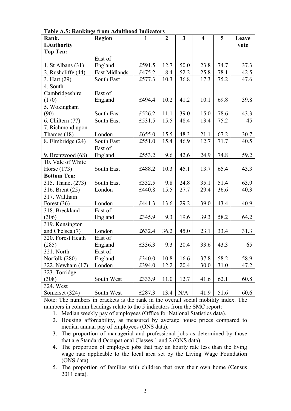| Rank.               | Region        | 1      | $\boldsymbol{2}$ | $\mathbf{3}$ | $\overline{4}$ | 5    | Leave |
|---------------------|---------------|--------|------------------|--------------|----------------|------|-------|
| <b>LAuthority</b>   |               |        |                  |              |                |      | vote  |
| <b>Top Ten:</b>     |               |        |                  |              |                |      |       |
|                     | East of       |        |                  |              |                |      |       |
| 1. St Albans $(31)$ | England       | £591.5 | 12.7             | 50.0         | 23.8           | 74.7 | 37.3  |
| 2. Rushcliffe (44)  | East Midlands | £475.2 | 8.4              | 52.2         | 25.8           | 78.1 | 42.5  |
| 3. Hart (29)        | South East    | £577.3 | 10.3             | 36.8         | 17.3           | 75.2 | 47.6  |
| 4. South            |               |        |                  |              |                |      |       |
| Cambridgeshire      | East of       |        |                  |              |                |      |       |
| (170)               | England       | £494.4 | 10.2             | 41.2         | 10.1           | 69.8 | 39.8  |
| 5. Wokingham        |               |        |                  |              |                |      |       |
| (90)                | South East    | £526.2 | 11.1             | 39.0         | 15.0           | 78.6 | 43.3  |
| 6. Chiltern (77)    | South East    | £531.5 | 15.5             | 48.4         | 13.4           | 75.2 | 45    |
| 7. Richmond upon    |               |        |                  |              |                |      |       |
| Thames $(18)$       | London        | £655.0 | 15.5             | 48.3         | 21.1           | 67.2 | 30.7  |
| 8. Elmbridge (24)   | South East    | £551.0 | 15.4             | 46.9         | 12.7           | 71.7 | 40.5  |
|                     | East of       |        |                  |              |                |      |       |
| 9. Brentwood (68)   | England       | £553.2 | 9.6              | 42.6         | 24.9           | 74.8 | 59.2  |
| 10. Vale of White   |               |        |                  |              |                |      |       |
| Horse (173)         | South East    | £488.2 | 10.3             | 45.1         | 13.7           | 65.4 | 43.3  |
| <b>Bottom Ten:</b>  |               |        |                  |              |                |      |       |
| 315. Thanet (273)   | South East    | £332.5 | 9.8              | 24.8         | 35.1           | 51.4 | 63.9  |
| 316. Brent (25)     | London        | £440.8 | 15.5             | 27.7         | 29.4           | 36.6 | 40.3  |
| 317. Waltham        |               |        |                  |              |                |      |       |
| Forest (36)         | London        | £441.3 | 13.6             | 29.2         | 39.0           | 43.4 | 40.9  |
| 318. Breckland      | East of       |        |                  |              |                |      |       |
| (306)               | England       | £345.9 | 9.3              | 19.6         | 39.3           | 58.2 | 64.2  |
| 319. Kensington     |               |        |                  |              |                |      |       |
| and Chelsea (7)     | London        | £632.4 | 36.2             | 45.0         | 23.1           | 33.4 | 31.3  |
| 320. Forest Heath   | East of       |        |                  |              |                |      |       |
| (285)               | England       | £336.3 | 9.3              | 20.4         | 33.6           | 43.3 | 65    |
| 321. North          | East of       |        |                  |              |                |      |       |
| Norfolk (280)       | England       | £340.0 | 10.8             | 16.6         | 37.8           | 58.2 | 58.9  |
| 322. Newham (17)    | London        | £394.0 | 12.2             | 20.4         | 30.0           | 31.0 | 47.2  |
| 323. Torridge       |               |        |                  |              |                |      |       |
| (308)               | South West    | £333.9 | 11.0             | 12.7         | 41.6           | 62.1 | 60.8  |
| 324. West           |               |        |                  |              |                |      |       |
| Somerset (324)      | South West    | £287.3 | 13.4             | N/A          | 41.9           | 51.6 | 60.6  |

**Table A.5: Rankings from Adulthood Indicators**

Note: The numbers in brackets is the rank in the overall social mobility index. The numbers in column headings relate to the 5 indicators from the SMC report:

1. Median weekly pay of employees (Office for National Statistics data).

- 2. Housing affordability, as measured by average house prices compared to median annual pay of employees (ONS data).
- 3. The proportion of managerial and professional jobs as determined by those that are Standard Occupational Classes 1 and 2 (ONS data).
- 4. The proportion of employee jobs that pay an hourly rate less than the living wage rate applicable to the local area set by the Living Wage Foundation (ONS data).
- 5. The proportion of families with children that own their own home (Census 2011 data).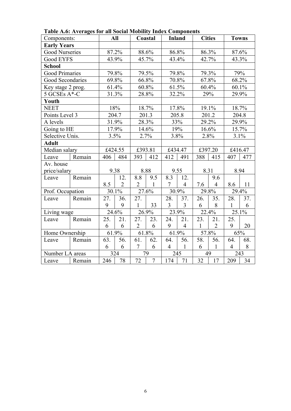| Components:           |        |     | All            |                | Coastal        |                | <b>Inland</b>  |      | <b>Cities</b>  |                | <b>Towns</b> |
|-----------------------|--------|-----|----------------|----------------|----------------|----------------|----------------|------|----------------|----------------|--------------|
| <b>Early Years</b>    |        |     |                |                |                |                |                |      |                |                |              |
| <b>Good Nurseries</b> |        |     | 87.2%          |                | 88.6%          |                | 86.8%          |      | 86.3%          |                | 87.6%        |
| Good EYFS             |        |     | 43.9%          |                | 45.7%          |                | 43.4%          |      | 42.7%          | 43.3%          |              |
| <b>School</b>         |        |     |                |                |                |                |                |      |                |                |              |
| <b>Good Primaries</b> |        |     | 79.8%          |                | 79.5%          |                | 79.8%          |      | 79.3%          |                | 79%          |
| Good Secondaries      |        |     | 69.8%          |                | 66.8%          |                | 70.8%          |      | 67.8%          |                | 68.2%        |
| Key stage 2 prog.     |        |     | 61.4%          |                | 60.8%          |                | 61.5%          |      | 60.4%          |                | 60.1%        |
| 5 GCSEs A*-C          |        |     | 31.3%          |                | 28.8%          |                | 32.2%          |      | 29%            |                | 29.9%        |
| Youth                 |        |     |                |                |                |                |                |      |                |                |              |
| <b>NEET</b>           |        |     | 18%            |                | 18.7%          |                | 17.8%          |      | 19.1%          |                | 18.7%        |
| Points Level 3        |        |     | 204.7          |                | 201.3          |                | 205.8          |      | 201.2          |                | 204.8        |
| A levels              |        |     | 31.9%          |                | 28.3%          |                | 33%            |      | 29.2%          |                | 29.9%        |
| Going to HE           |        |     | 17.9%          |                | 14.6%          |                | 19%            |      | 16.6%          | 15.7%          |              |
| Selective Unis.       |        |     | 3.5%           |                | 2.7%           |                | 3.8%           | 2.8% |                | 3.1%           |              |
| <b>Adult</b>          |        |     |                |                |                |                |                |      |                |                |              |
| Median salary         |        |     | £424.55        |                | £393.81        |                | £434.47        |      | £397.20        |                | £416.47      |
| Leave                 | Remain | 406 | 484            | 393            | 412            | 412            | 491            | 388  | 415            | 407            | 477          |
| Av. house             |        |     |                |                |                |                |                |      |                |                |              |
| price/salary          |        |     | 9.38           |                | 8.88           |                | 9.55           |      | 8.31           |                | 8.94         |
| Leave                 | Remain |     | 12.            | 8.8            | 9.5            | 8.3            | 12.            |      | 9.6            |                |              |
|                       |        | 8.5 | $\overline{2}$ | $\overline{2}$ | $\mathbf{1}$   | $\tau$         | $\overline{4}$ | 7.6  | $\overline{4}$ | 8.6            | 11           |
| Prof. Occupation      |        |     | 30.1%          |                | 27.6%          |                | 30.9%          |      | 29.8%          |                | 29.4%        |
| Leave                 | Remain | 27. | 36.            | 27.            |                | 28.            | 37.            | 26.  | 35.            | 28.            | 37.          |
|                       |        | 9   | 9              | 1              | 33             | 3              | $\overline{3}$ | 6    | 8              | $\mathbf{1}$   | 6            |
| Living wage           |        |     | 24.6%          |                | 26.9%          |                | 23.9%          |      | 22.4%          |                | 25.1%        |
| Leave                 | Remain | 25. | 21.            | 27.            | 23.            | 24.            | 21.            | 23.  | 21.            | 25.            |              |
|                       |        | 6   | 6              | $\overline{2}$ | 6              | 9              | $\overline{4}$ |      | $\overline{2}$ | 9              | 20           |
| Home Ownership        |        |     | 61.9%          |                | 61.8%          |                | 61.9%          |      | 57.8%          |                | 65%          |
| Leave                 | Remain | 63. | 56.            | 61.            | 62.            | 64.            | 56.            | 58.  | 56.            | 64.            | 68.          |
|                       |        | 6   | 6              | $\overline{7}$ | 6              | $\overline{4}$ | 1              | 6    | $\mathbf{1}$   | $\overline{4}$ | 8            |
| Number LA areas       |        |     | 324            |                | 79             |                | 245            |      | 49             |                | 243          |
| Leave                 | Remain | 246 | 78             | 72             | $\overline{7}$ | 174            | 71             | 32   | 17             | 209            | 34           |

**Table A.6: Averages for all Social Mobility Index Components**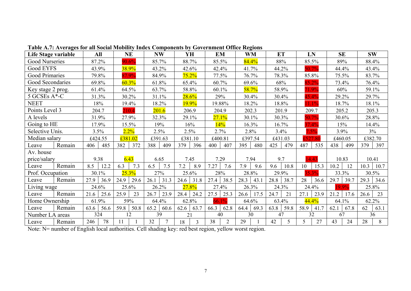| Life Stage variable   | All          | <b>NE</b>      | <b>NW</b>    | YH           | <b>EM</b>            | WM           | <b>ET</b>   | LN           | <b>SE</b>            | <b>SW</b>    |
|-----------------------|--------------|----------------|--------------|--------------|----------------------|--------------|-------------|--------------|----------------------|--------------|
| <b>Good Nurseries</b> | 87.2%        | 90.6%          | 85.7%        | 88.7%        | 85.5%                | 84.4%        | 88%         | 85.5%        | 89%                  | 88.4%        |
| Good EYFS             | 43.9%        | 38.9%          | 43.2%        | 42.6%        | 42.4%                | 41.7%        | 44.2%       | 50.7%        | 44.4%                | 43.4%        |
| Good Primaries        | 79.8%        | 37.9%          | 84.9%        | $75.2\%$     | 77.5%                | 76.7%        | 78.3%       | 85.8%        | 75.5%                | 83.7%        |
| Good Secondaries      | 69.8%        | 60.3%          | 61.8%        | 65.4%        | 60.7%                | 69.6%        | 68%         | 85.2%        | 73.4%                | 76.4%        |
| Key stage 2 prog.     | 61.4%        | 64.5%          | 63.7%        | 58.8%        | 60.1%                | 58.7%        | 58.9%       | 71.9%        | 60%                  | 59.1%        |
| 5 GCSEs A*-C          | 31.3%        | 30.2%          | 31.1%        | 28.6%        | 29%                  | 30.4%        | 30.4%       | 15.4%        | 29.2%                | 29.7%        |
| <b>NEET</b>           | 18%          | 19.4%          | 18.2%        | 19.9%        | 19.88%               | 18.2%        | 18.8%       | 1.1%         | 18.7%                | 18.1%        |
| Points Level 3        | 204.7        | 210.4          | 201.6        | 206.9        | 204.9                | 202.3        | 201.9       | 209.7        | 205.2                | 205.3        |
| A levels              | 31.9%        | 27.9%          | 32.3%        | 29.1%        | 27.1%                | 30.1%        | 30.3%       | 50.7%        | 30.6%                | 28.8%        |
| Going to HE           | 17.9%        | 15.5%          | 19%          | 16%          | 14%                  | 16.3%        | 16.7%       | 37.4%        | 15%                  | 14.4%        |
| Selective Unis.       | 3.5%         | 2.2%           | 2.5%         | 2.5%         | 2.7%                 | 2.8%         | 3.4%        | .5%          | 3.9%                 | $3\%$        |
| Median salary         | £424.55      | £381.02        | £391.63      | £381.10      | £400.81              | £397.54      | £431.03     | 527.8        | £460.05              | £382.70      |
| Remain<br>Leave       | 406<br>485   | 382<br>372     | 388<br>409   | 379<br>396   | 400<br>407           | 395<br>480   | 425<br>479  | 487<br>535   | 438<br>499           | 397<br>379   |
| Av. house             |              |                |              |              |                      |              |             |              |                      |              |
| price/salary          | 9.38         | 6.43           | 6.65         | 7.45         | 7.29                 | 7.94         | 9.7         | 14.43        | 10.83                | 10.41        |
| Remain<br>Leave       | 8.5<br>12.2  | 6.3<br>7.3     | 6.5<br>7.5   | 7.2<br>8.9   | 7.27<br>7.6          | 7.9<br>9.6   | 9.6<br>10.8 | 10<br>15.3   | 10.2<br>12           | 10.3<br>10.7 |
| Prof. Occupation      | 30.1%        | 25.3%          | 27%          | 25.6%        | 28%                  | 28.8%        | 29.9%       | 35.30/       | 33.3%                | 30.5%        |
| Remain<br>Leave       | 27.9<br>36.9 | 24.9<br>  29.6 | 26.1<br>31.3 | 24.6<br>31.8 | 27.4<br>38.5         | 28.3<br>43.  | $28.8$ 38.7 | 28<br>36.6   | 29.7<br>$\vert$ 39.7 | 29.3<br>34.6 |
| Living wage           | 24.6%        | 25.6%          | 26.2%        | 27.8%        | 27.4%                | 26.3%        | 24.3%       | 24.4%        | 9.9%                 | 25.8%        |
| Remain<br>Leave       | 21.6<br>25.6 | 25.9<br>23     | 26.7<br>23.9 | 28.4<br>24.2 | 27.5<br>25.3         | 17.5<br>26.6 | 24.7<br>21  | 27.1<br>23.9 | 21.2<br>17.6         | 23<br>26.6   |
| Home Ownership        | 61.9%        | 59%            | 64.4%        | 62.8%        |                      | 64.6%        | 63.4%       | 44.4%        | 64.1%                | 62.2%        |
| Remain<br>Leave       | 63.6<br>56.6 | $59.8$   50.8  | 65.2<br>60.6 | 62.6<br>63.7 | 62.8<br>66.3         | 69.3<br>64.4 | $63.8$ 59.8 | 58.9<br>41.7 | 67.8<br>62.1         | 62<br>63.1   |
| Number LA areas       | 324          | 12             | 39           | 21           | 40                   | 30           | 47          | 32           | 67                   | 36           |
| Remain<br>Leave       | 246<br>78    | 11             | 32           | 18           | 38<br>$\overline{2}$ | 29           | 42<br>5     | 27           | 43<br>24             | 28<br>8      |

**Table A.7: Averages for all Social Mobility Index Components by Government Office Regions**

Note: N= number of English local authorities. Cell shading key: red best region, yellow worst region.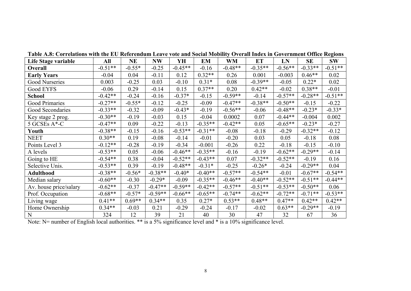| Life Stage variable    | All       | <b>NE</b> | <b>NW</b> | YH        | EM        | WM        | <b>ET</b> | LN        | <b>SE</b> | <b>SW</b> |
|------------------------|-----------|-----------|-----------|-----------|-----------|-----------|-----------|-----------|-----------|-----------|
| Overall                | $-0.51**$ | $-0.55*$  | $-0.25$   | $-0.45**$ | $-0.16$   | $-0.48**$ | $-0.35**$ | $-0.56**$ | $-0.33**$ | $-0.51**$ |
| <b>Early Years</b>     | $-0.04$   | 0.04      | $-0.11$   | 0.12      | $0.32**$  | 0.26      | 0.001     | $-0.003$  | $0.46**$  | 0.02      |
| Good Nurseries         | 0.003     | $-0.25$   | 0.03      | $-0.10$   | $0.31*$   | 0.08      | $-0.39**$ | $-0.05$   | $0.22*$   | 0.02      |
| Good EYFS              | $-0.06$   | 0.29      | $-0.14$   | 0.15      | $0.37**$  | 0.20      | $0.42**$  | $-0.02$   | $0.38**$  | $-0.01$   |
| <b>School</b>          | $-0.42**$ | $-0.24$   | $-0.16$   | $-0.37*$  | $-0.15$   | $-0.59**$ | $-0.14$   | $-0.57**$ | $-0.28**$ | $-0.51**$ |
| Good Primaries         | $-0.27**$ | $-0.55*$  | $-0.12$   | $-0.25$   | $-0.09$   | $-0.47**$ | $-0.38**$ | $-0.50**$ | $-0.15$   | $-0.22$   |
| Good Secondaries       | $-0.33**$ | $-0.32$   | $-0.09$   | $-0.43*$  | $-0.19$   | $-0.56**$ | $-0.06$   | $-0.48**$ | $-0.23*$  | $-0.33*$  |
| Key stage 2 prog.      | $-0.30**$ | $-0.19$   | $-0.03$   | 0.15      | $-0.04$   | 0.0002    | 0.07      | $-0.44**$ | $-0.004$  | 0.002     |
| 5 GCSEs A*-C           | $-0.47**$ | 0.09      | $-0.22$   | $-0.13$   | $-0.35**$ | $-0.42**$ | 0.05      | $-0.65**$ | $-0.23*$  | $-0.27$   |
| Youth                  | $-0.38**$ | $-0.15$   | $-0.16$   | $-0.53**$ | $-0.31**$ | $-0.08$   | $-0.18$   | $-0.29$   | $-0.32**$ | $-0.12$   |
| <b>NEET</b>            | $0.30**$  | 0.19      | $-0.08$   | $-0.14$   | $-0.01$   | $-0.20$   | 0.03      | 0.05      | $-0.18$   | 0.08      |
| Points Level 3         | $-0.12**$ | $-0.28$   | $-0.19$   | $-0.34$   | $-0.001$  | $-0.26$   | 0.22      | $-0.18$   | $-0.15$   | $-0.10$   |
| A levels               | $-0.53**$ | 0.05      | $-0.06$   | $-0.46**$ | $-0.35**$ | $-0.16$   | $-0.19$   | $-0.62**$ | $-0.29**$ | $-0.14$   |
| Going to HE            | $-0.54**$ | 0.38      | $-0.04$   | $-0.52**$ | $-0.43**$ | 0.07      | $-0.32**$ | $-0.52**$ | $-0.19$   | 0.16      |
| Selective Unis.        | $-0.53**$ | 0.39      | $-0.19$   | $-0.48**$ | $-0.31*$  | $-0.25$   | $-0.26*$  | $-0.24$   | $-0.29**$ | 0.04      |
| <b>Adulthood</b>       | $-0.38**$ | $-0.56*$  | $-0.38**$ | $-0.40*$  | $-0.40**$ | $-0.57**$ | $-0.54**$ | $-0.01$   | $-0.67**$ | $-0.54**$ |
| Median salary          | $-0.60**$ | $-0.30$   | $-0.29*$  | $-0.09$   | $-0.35**$ | $-0.46**$ | $-0.40**$ | $-0.52**$ | $-0.51**$ | $-0.44**$ |
| Av. house price/salary | $-0.62**$ | $-0.37$   | $-0.47**$ | $-0.59**$ | $-0.42**$ | $-0.57**$ | $-0.51**$ | $-0.53**$ | $-0.50**$ | 0.06      |
| Prof. Occupation       | $-0.68**$ | $-0.57*$  | $-0.59**$ | $-0.66**$ | $-0.65**$ | $-0.74**$ | $-0.62**$ | $-0.72**$ | $-0.71**$ | $-0.53**$ |
| Living wage            | $0.41**$  | $0.69**$  | $0.34**$  | 0.35      | $0.27*$   | $0.53**$  | $0.48**$  | $0.47**$  | $0.42**$  | $0.42**$  |
| Home Ownership         | $0.34**$  | $-0.03$   | 0.21      | $-0.29$   | $-0.24$   | $-0.17$   | $-0.02$   | $0.63**$  | $-0.29**$ | $-0.19$   |
| N                      | 324       | 12        | 39        | 21        | 40        | 30        | 47        | 32        | 67        | 36        |

**Table A.8: Correlations with the EU Referendum Leave vote and Social Mobility Overall Index in Government Office Regions**

Note: N= number of English local authorities. \*\* is a 5% significance level and \* is a 10% significance level.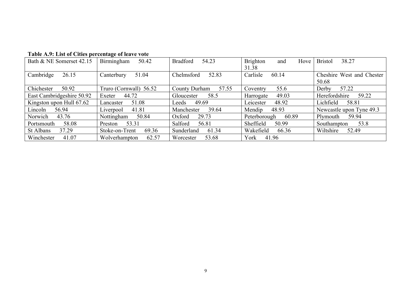| Bath & NE Somerset 42.15  | Birmingham<br>50.42     | <b>Bradford</b><br>54.23 | <b>Brighton</b><br>Hove<br>and | 38.27<br><b>Bristol</b>   |
|---------------------------|-------------------------|--------------------------|--------------------------------|---------------------------|
|                           |                         |                          | 31.38                          |                           |
| 26.15<br>Cambridge        | 51.04<br>Canterbury     | Chelmsford<br>52.83      | Carlisle<br>60.14              | Cheshire West and Chester |
|                           |                         |                          |                                | 50.68                     |
| Chichester<br>50.92       | Truro (Cornwall) 56.52  | 57.55<br>County Durham   | 55.6<br>Coventry               | Derby<br>57.22            |
| East Cambridgeshire 50.92 | Exeter $44.72$          | Gloucester 58.5          | 49.03<br>Harrogate             | Herefordshire 59.22       |
| Kingston upon Hull 67.62  | 51.08<br>Lancaster      | Leeds $49.69$            | Leicester<br>48.92             | Lichfield 58.81           |
| Lincoln<br>56.94          | 41.81<br>Liverpool      | 39.64<br>Manchester      | Mendip<br>48.93                | Newcastle upon Tyne 49.3  |
| Norwich<br>43.76          | Nottingham<br>50.84     | Oxford<br>29.73          | Peterborough 60.89             | Plymouth 59.94            |
| 58.08<br>Portsmouth       | Preston 53.31           | Salford<br>56.81         | Sheffield<br>50.99             | Southampton<br>53.8       |
| St Albans<br>37.29        | 69.36<br>Stoke-on-Trent | Sunderland<br>61.34      | Wakefield<br>66.36             | Wiltshire 52.49           |
| Winchester<br>41.07       | 62.57<br>Wolverhampton  | 53.68<br>Worcester       | York 41.96                     |                           |

#### **Table A.9: List of Cities percentage of leave vote**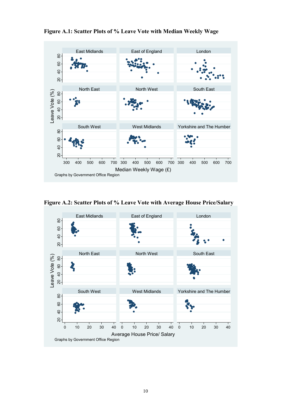

**Figure A.1: Scatter Plots of % Leave Vote with Median Weekly Wage**

**Figure A.2: Scatter Plots of % Leave Vote with Average House Price/Salary**

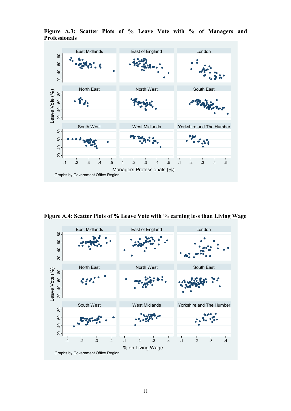

**Figure A.3: Scatter Plots of % Leave Vote with % of Managers and Professionals**

**Figure A.4: Scatter Plots of % Leave Vote with % earning less than Living Wage**